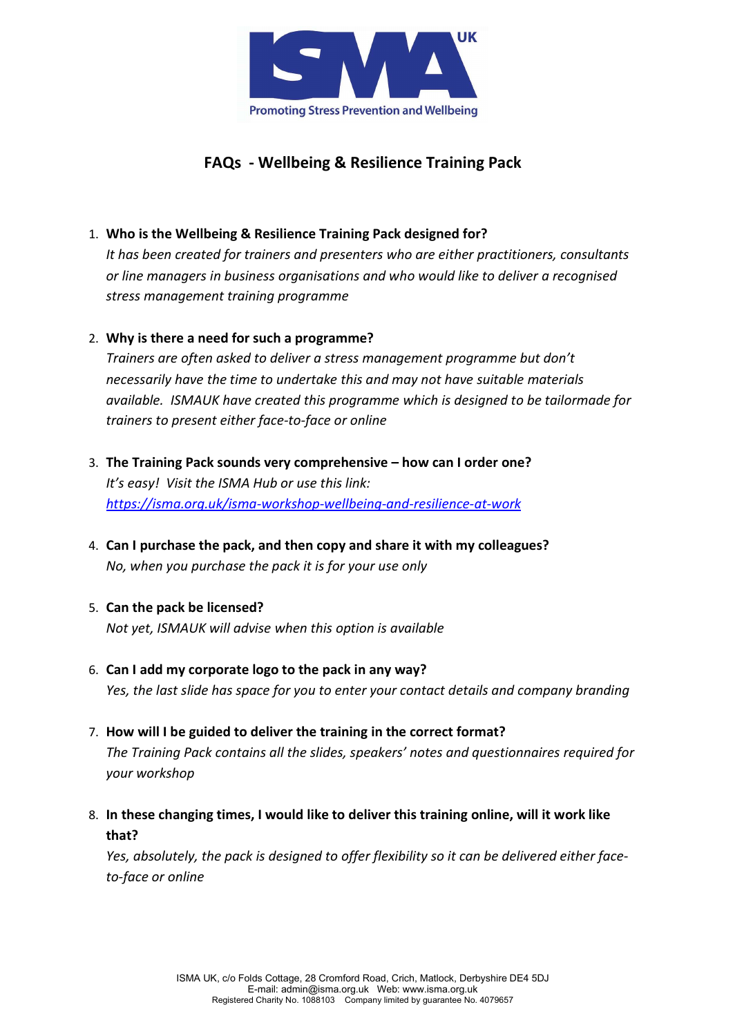

# FAQs - Wellbeing & Resilience Training Pack

### 1. Who is the Wellbeing & Resilience Training Pack designed for?

It has been created for trainers and presenters who are either practitioners, consultants or line managers in business organisations and who would like to deliver a recognised stress management training programme

#### 2. Why is there a need for such a programme?

Trainers are often asked to deliver a stress management programme but don't necessarily have the time to undertake this and may not have suitable materials available. ISMAUK have created this programme which is designed to be tailormade for trainers to present either face-to-face or online

- 3. The Training Pack sounds very comprehensive how can I order one? It's easy! Visit the ISMA Hub or use this link: https://isma.org.uk/isma-workshop-wellbeing-and-resilience-at-work
- 4. Can I purchase the pack, and then copy and share it with my colleagues? No, when you purchase the pack it is for your use only

# 5. Can the pack be licensed?

Not yet, ISMAUK will advise when this option is available

- 6. Can I add my corporate logo to the pack in any way? Yes, the last slide has space for you to enter your contact details and company branding
- 7. How will I be guided to deliver the training in the correct format? The Training Pack contains all the slides, speakers' notes and questionnaires required for your workshop
- 8. In these changing times, I would like to deliver this training online, will it work like that?

Yes, absolutely, the pack is designed to offer flexibility so it can be delivered either faceto-face or online